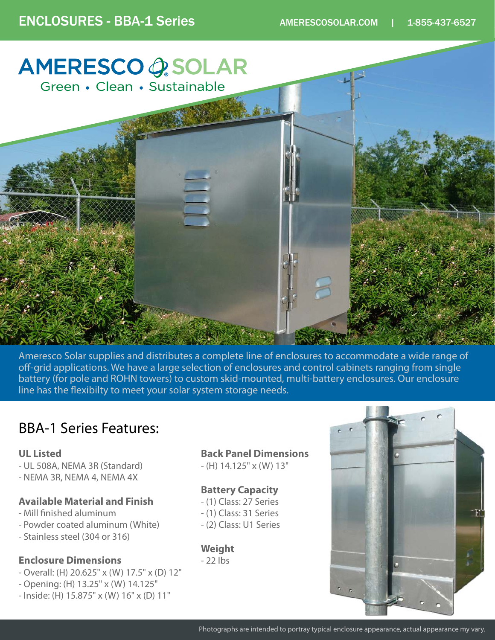

Ameresco Solar supplies and distributes a complete line of enclosures to accommodate a wide range of off-grid applications. We have a large selection of enclosures and control cabinets ranging from single battery (for pole and ROHN towers) to custom skid-mounted, multi-battery enclosures. Our enclosure line has the flexibilty to meet your solar system storage needs.

# BBA-1 Series Features:

#### **UL Listed**

- UL 508A, NEMA 3R (Standard)
- NEMA 3R, NEMA 4, NEMA 4X

#### **Available Material and Finish**

- Mill finished aluminum
- Powder coated aluminum (White)
- Stainless steel (304 or 316)

### **Enclosure Dimensions**

- Overall: (H) 20.625" x (W) 17.5" x (D) 12"
- Opening: (H) 13.25" x (W) 14.125"
- Inside: (H) 15.875" x (W) 16" x (D) 11"

### **Back Panel Dimensions**

- (H) 14.125" x (W) 13"

### **Battery Capacity**

- (1) Class: 27 Series
- (1) Class: 31 Series
- (2) Class: U1 Series

### **Weight**

- 22 lbs